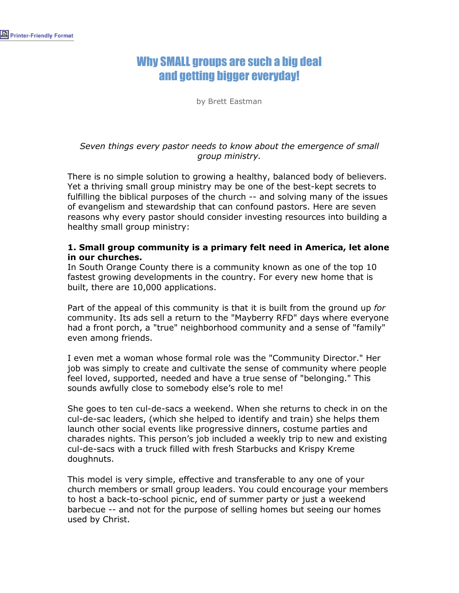# Why SMALL groups are such a big deal and getting bigger everyday!

by Brett Eastman

## *Seven things every pastor needs to know about the emergence of small group ministry.*

There is no simple solution to growing a healthy, balanced body of believers. Yet a thriving small group ministry may be one of the best-kept secrets to fulfilling the biblical purposes of the church -- and solving many of the issues of evangelism and stewardship that can confound pastors. Here are seven reasons why every pastor should consider investing resources into building a healthy small group ministry:

## **1. Small group community is a primary felt need in America, let alone in our churches.**

In South Orange County there is a community known as one of the top 10 fastest growing developments in the country. For every new home that is built, there are 10,000 applications.

Part of the appeal of this community is that it is built from the ground up *for* community. Its ads sell a return to the "Mayberry RFD" days where everyone had a front porch, a "true" neighborhood community and a sense of "family" even among friends.

I even met a woman whose formal role was the "Community Director." Her job was simply to create and cultivate the sense of community where people feel loved, supported, needed and have a true sense of "belonging." This sounds awfully close to somebody else's role to me!

She goes to ten cul-de-sacs a weekend. When she returns to check in on the cul-de-sac leaders, (which she helped to identify and train) she helps them launch other social events like progressive dinners, costume parties and charades nights. This person's job included a weekly trip to new and existing cul-de-sacs with a truck filled with fresh Starbucks and Krispy Kreme doughnuts.

This model is very simple, effective and transferable to any one of your church members or small group leaders. You could encourage your members to host a back-to-school picnic, end of summer party or just a weekend barbecue -- and not for the purpose of selling homes but seeing our homes used by Christ.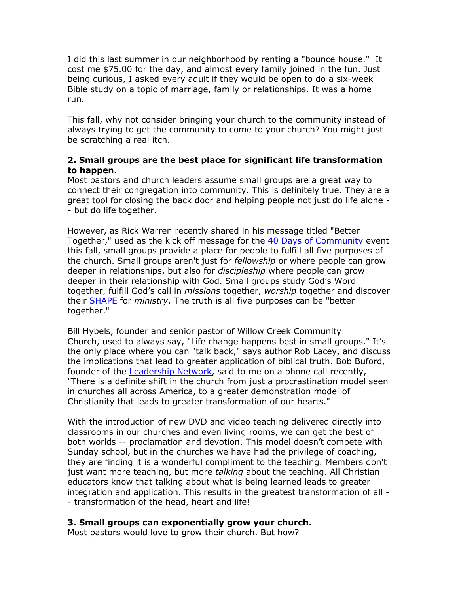I did this last summer in our neighborhood by renting a "bounce house." It cost me \$75.00 for the day, and almost every family joined in the fun. Just being curious, I asked every adult if they would be open to do a six-week Bible study on a topic of marriage, family or relationships. It was a home run.

This fall, why not consider bringing your church to the community instead of always trying to get the community to come to your church? You might just be scratching a real itch.

# **2. Small groups are the best place for significant life transformation to happen.**

Most pastors and church leaders assume small groups are a great way to connect their congregation into community. This is definitely true. They are a great tool for closing the back door and helping people not just do life alone - - but do life together.

However, as Rick Warren recently shared in his message titled "Better Together," used as the kick off message for the [40 Days of Community](http://www.pastors.com/article.asp?ArtID=7003) event this fall, small groups provide a place for people to fulfill all five purposes of the church. Small groups aren't just for *fellowship* or where people can grow deeper in relationships, but also for *discipleship* where people can grow deeper in their relationship with God. Small groups study God's Word together, fulfill God's call in *missions* together, *worship* together and discover their [SHAPE](http://www.pastors.com/article.asp?ArtID=4006) for *ministry*. The truth is all five purposes can be "better together."

Bill Hybels, founder and senior pastor of Willow Creek Community Church, used to always say, "Life change happens best in small groups." It's the only place where you can "talk back," says author Rob Lacey, and discuss the implications that lead to greater application of biblical truth. Bob Buford, founder of the [Leadership Network,](http://www.leadnet.org/site/index.asp) said to me on a phone call recently, "There is a definite shift in the church from just a procrastination model seen in churches all across America, to a greater demonstration model of Christianity that leads to greater transformation of our hearts."

With the introduction of new DVD and video teaching delivered directly into classrooms in our churches and even living rooms, we can get the best of both worlds -- proclamation and devotion. This model doesn't compete with Sunday school, but in the churches we have had the privilege of coaching, they are finding it is a wonderful compliment to the teaching. Members don't just want more teaching, but more *talking* about the teaching. All Christian educators know that talking about what is being learned leads to greater integration and application. This results in the greatest transformation of all - - transformation of the head, heart and life!

# **3. Small groups can exponentially grow your church.**

Most pastors would love to grow their church. But how?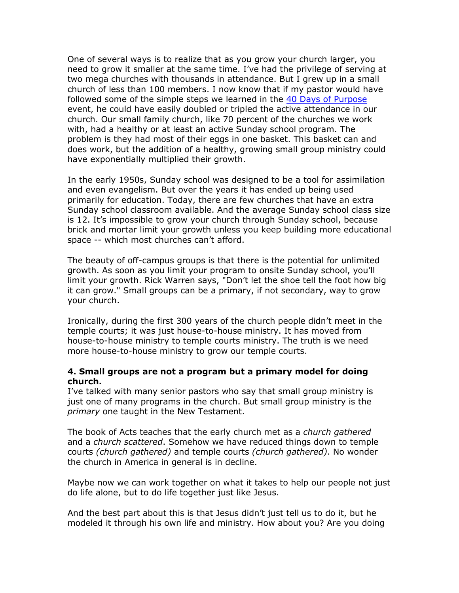One of several ways is to realize that as you grow your church larger, you need to grow it smaller at the same time. I've had the privilege of serving at two mega churches with thousands in attendance. But I grew up in a small church of less than 100 members. I now know that if my pastor would have followed some of the simple steps we learned in the [40 Days of Purpose](http://www.purposedriven.com/content.aspx?id=4903) event, he could have easily doubled or tripled the active attendance in our church. Our small family church, like 70 percent of the churches we work with, had a healthy or at least an active Sunday school program. The problem is they had most of their eggs in one basket. This basket can and does work, but the addition of a healthy, growing small group ministry could have exponentially multiplied their growth.

In the early 1950s, Sunday school was designed to be a tool for assimilation and even evangelism. But over the years it has ended up being used primarily for education. Today, there are few churches that have an extra Sunday school classroom available. And the average Sunday school class size is 12. It's impossible to grow your church through Sunday school, because brick and mortar limit your growth unless you keep building more educational space -- which most churches can't afford.

The beauty of off-campus groups is that there is the potential for unlimited growth. As soon as you limit your program to onsite Sunday school, you'll limit your growth. Rick Warren says, "Don't let the shoe tell the foot how big it can grow." Small groups can be a primary, if not secondary, way to grow your church.

Ironically, during the first 300 years of the church people didn't meet in the temple courts; it was just house-to-house ministry. It has moved from house-to-house ministry to temple courts ministry. The truth is we need more house-to-house ministry to grow our temple courts.

#### **4. Small groups are not a program but a primary model for doing church.**

I've talked with many senior pastors who say that small group ministry is just one of many programs in the church. But small group ministry is the *primary* one taught in the New Testament.

The book of Acts teaches that the early church met as a *church gathered*  and a *church scattered*. Somehow we have reduced things down to temple courts *(church gathered)* and temple courts *(church gathered)*. No wonder the church in America in general is in decline.

Maybe now we can work together on what it takes to help our people not just do life alone, but to do life together just like Jesus.

And the best part about this is that Jesus didn't just tell us to do it, but he modeled it through his own life and ministry. How about you? Are you doing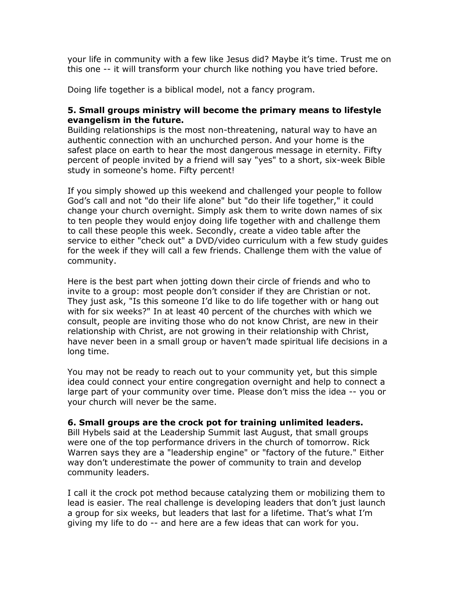your life in community with a few like Jesus did? Maybe it's time. Trust me on this one -- it will transform your church like nothing you have tried before.

Doing life together is a biblical model, not a fancy program.

## **5. Small groups ministry will become the primary means to lifestyle evangelism in the future.**

Building relationships is the most non-threatening, natural way to have an authentic connection with an unchurched person. And your home is the safest place on earth to hear the most dangerous message in eternity. Fifty percent of people invited by a friend will say "yes" to a short, six-week Bible study in someone's home. Fifty percent!

If you simply showed up this weekend and challenged your people to follow God's call and not "do their life alone" but "do their life together," it could change your church overnight. Simply ask them to write down names of six to ten people they would enjoy doing life together with and challenge them to call these people this week. Secondly, create a video table after the service to either "check out" a DVD/video curriculum with a few study guides for the week if they will call a few friends. Challenge them with the value of community.

Here is the best part when jotting down their circle of friends and who to invite to a group: most people don't consider if they are Christian or not. They just ask, "Is this someone I'd like to do life together with or hang out with for six weeks?" In at least 40 percent of the churches with which we consult, people are inviting those who do not know Christ, are new in their relationship with Christ, are not growing in their relationship with Christ, have never been in a small group or haven't made spiritual life decisions in a long time.

You may not be ready to reach out to your community yet, but this simple idea could connect your entire congregation overnight and help to connect a large part of your community over time. Please don't miss the idea -- you or your church will never be the same.

#### **6. Small groups are the crock pot for training unlimited leaders.**

Bill Hybels said at the Leadership Summit last August, that small groups were one of the top performance drivers in the church of tomorrow. Rick Warren says they are a "leadership engine" or "factory of the future." Either way don't underestimate the power of community to train and develop community leaders.

I call it the crock pot method because catalyzing them or mobilizing them to lead is easier. The real challenge is developing leaders that don't just launch a group for six weeks, but leaders that last for a lifetime. That's what I'm giving my life to do -- and here are a few ideas that can work for you.